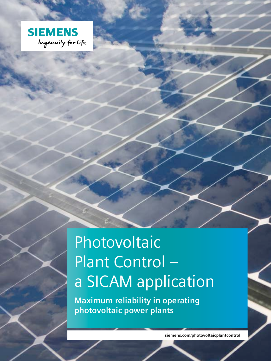

## Photovoltaic Plant Control – a SICAM application

**Maximum reliability in operating photovoltaic power plants**

**siemens.com/photovoltaicplantcontrol**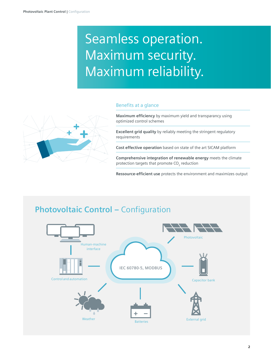## Seamless operation. Maximum security. Maximum reliability.

#### Benefits at a glance



**Maximum efficiency** by maximum yield and transparancy using optimized control schemes

**Excellent grid quality** by reliably meeting the stringent regulatory requirements

**Cost effective operation** based on state of the art SICAM platform

**Comprehensive integration of renewable energy** meets the climate protection targets that promote  $CO<sub>2</sub>$  reduction

**Ressource-efficient use** protects the environment and maximizes output

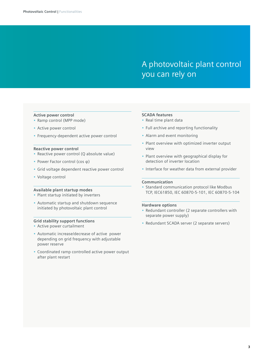### A photovoltaic plant control you can rely on

#### **Active power control**

- Ramp control (MPP mode)
- Active power control
- Frequency-dependent active power control

#### **Reactive power control**

- Reactive power control (Q absolute value)
- Power Factor control (cos φ)
- Grid voltage dependent reactive power control
- Voltage control

#### **Available plant startup modes**

- Plant startup initiated by inverters
- Automatic startup and shutdown sequence initiated by photovoltaic plant control

#### **Grid stability support functions**

- Active power curtailment
- Automatic increase/decrease of active power depending on grid frequency with adjustable power reserve
- Coordinated ramp controlled active power output after plant restart

#### **SCADA features**

- Real time plant data
- Full archive and reporting functionality
- Alarm and event monitoring
- Plant overview with optimized inverter output view
- Plant overview with geographical display for detection of inverter location
- Interface for weather data from external provider

#### **Communication**

• Standard communication protocol like Modbus TCP, IEC61850, IEC 60870-5-101, IEC 60870-5-104

#### **Hardware options**

- Redundant controller (2 separate controllers with separate power supply)
- Redundant SCADA server (2 separate servers)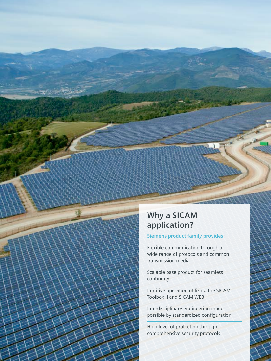

### **Why a SICAM application?**

#### **Siemens product family provides:**

Flexible communication through a wide range of protocols and common transmission media

Scalable base product for seamless continuity

Intuitive operation utilizing the SICAM Toolbox II and SICAM WEB

Interdisciplinary engineering made possible by standardized configuration

High level of protection through comprehensive security protocols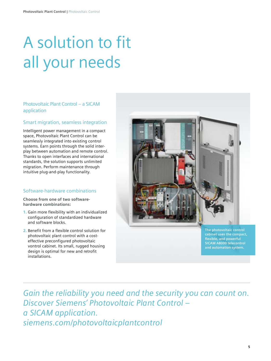# A solution to fit all your needs

Photovoltaic Plant Control – a SICAM application

#### Smart migration, seamless integration

Intelligent power management in a compact space, Photovoltaic Plant Control can be seamlessly integrated into existing control systems. Earn points through the solid interplay between automation and remote control. Thanks to open interfaces and international standards, the solution supports unlimited migration. Perform maintenance through intuitive plug-and-play functionality.

#### Software-hardware combinations

**Choose from one of two softwarehardware combinations:**

- **1.** Gain more flexibility with an individualized configuration of standardized hardware and software blocks.
- **2.** Benefit from a flexible control solution for photovoltaic plant control with a costeffective preconfigured photovoltaic vontrol cabinet. Its small, rugged housing design is optimal for new and retrofit installations.



**SICAM A8000 telecontrol and automation system.**

*Gain the reliability you need and the security you can count on. Discover Siemens' Photovoltaic Plant Control – a SICAM application. siemens.com/photovoltaicplantcontrol*